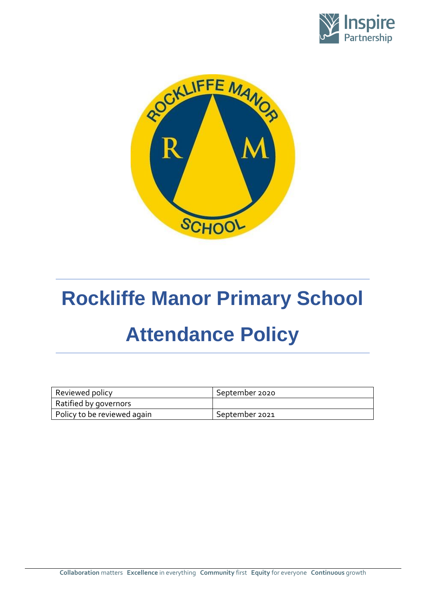



# **Rockliffe Manor Primary School Attendance Policy**

| Reviewed policy             | September 2020 |
|-----------------------------|----------------|
| Ratified by governors       |                |
| Policy to be reviewed again | September 2021 |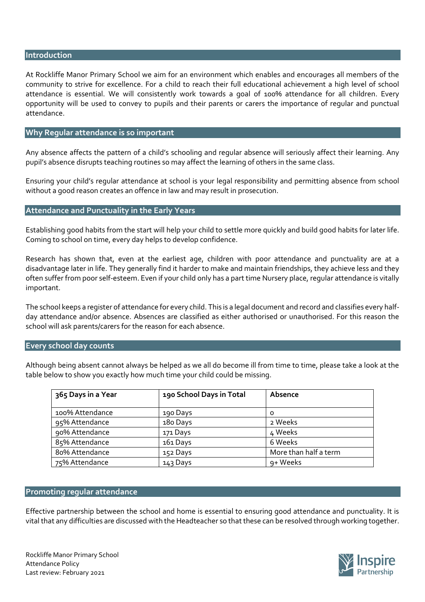#### **Introduction**

At Rockliffe Manor Primary School we aim for an environment which enables and encourages all members of the community to strive for excellence. For a child to reach their full educational achievement a high level of school attendance is essential. We will consistently work towards a goal of 100% attendance for all children. Every opportunity will be used to convey to pupils and their parents or carers the importance of regular and punctual attendance.

## **Why Regular attendance is so important**

Any absence affects the pattern of a child's schooling and regular absence will seriously affect their learning. Any pupil's absence disrupts teaching routines so may affect the learning of others in the same class.

Ensuring your child's regular attendance at school is your legal responsibility and permitting absence from school without a good reason creates an offence in law and may result in prosecution.

# **Attendance and Punctuality in the Early Years**

Establishing good habits from the start will help your child to settle more quickly and build good habits for later life. Coming to school on time, every day helps to develop confidence.

Research has shown that, even at the earliest age, children with poor attendance and punctuality are at a disadvantage later in life. They generally find it harder to make and maintain friendships, they achieve less and they often suffer from poor self-esteem. Even if your child only has a part time Nursery place, regular attendance is vitally important.

The school keeps a register of attendance for every child. This is a legal document and record and classifies every halfday attendance and/or absence. Absences are classified as either authorised or unauthorised. For this reason the school will ask parents/carers for the reason for each absence.

#### **Every school day counts**

Although being absent cannot always be helped as we all do become ill from time to time, please take a look at the table below to show you exactly how much time your child could be missing.

| 365 Days in a Year | 190 School Days in Total | Absence               |
|--------------------|--------------------------|-----------------------|
| 100% Attendance    | 190 Days                 | $\Omega$              |
| 95% Attendance     | 180 Days                 | 2 Weeks               |
| 90% Attendance     | 171 Days                 | 4 Weeks               |
| 85% Attendance     | 161 Days                 | 6 Weeks               |
| 80% Attendance     | 152 Days                 | More than half a term |
| 75% Attendance     | 143 Days                 | 9+ Weeks              |

## **Promoting regular attendance**

Effective partnership between the school and home is essential to ensuring good attendance and punctuality. It is vital that any difficulties are discussed with the Headteacher so that these can be resolved through working together.

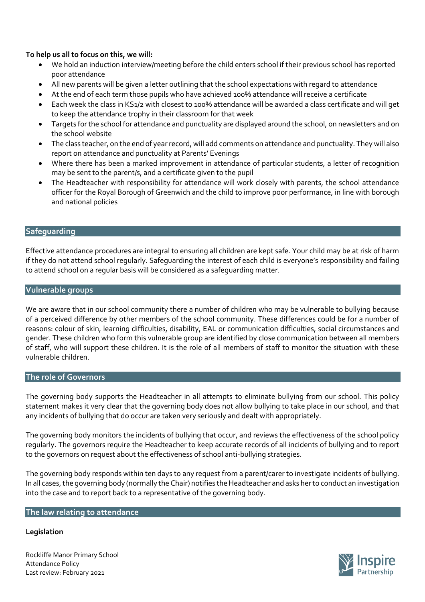# **To help us all to focus on this, we will:**

- We hold an induction interview/meeting before the child enters school if their previous school has reported poor attendance
- All new parents will be given a letter outlining that the school expectations with regard to attendance
- At the end of each term those pupils who have achieved 100% attendance will receive a certificate
- Each week the class in KS1/2 with closest to 100% attendance will be awarded a class certificate and will get to keep the attendance trophy in their classroom for that week
- Targets for the school for attendance and punctuality are displayed around the school, on newsletters and on the school website
- The class teacher, on the end of year record, will add comments on attendance and punctuality. They will also report on attendance and punctuality at Parents' Evenings
- Where there has been a marked improvement in attendance of particular students, a letter of recognition may be sent to the parent/s, and a certificate given to the pupil
- The Headteacher with responsibility for attendance will work closely with parents, the school attendance officer for the Royal Borough of Greenwich and the child to improve poor performance, in line with borough and national policies

# **Safeguarding**

Effective attendance procedures are integral to ensuring all children are kept safe. Your child may be at risk of harm if they do not attend school regularly. Safeguarding the interest of each child is everyone's responsibility and failing to attend school on a regular basis will be considered as a safeguarding matter.

# **Vulnerable groups**

We are aware that in our school community there a number of children who may be vulnerable to bullying because of a perceived difference by other members of the school community. These differences could be for a number of reasons: colour of skin, learning difficulties, disability, EAL or communication difficulties, social circumstances and gender. These children who form this vulnerable group are identified by close communication between all members of staff, who will support these children. It is the role of all members of staff to monitor the situation with these vulnerable children.

# **The role of Governors**

The governing body supports the Headteacher in all attempts to eliminate bullying from our school. This policy statement makes it very clear that the governing body does not allow bullying to take place in our school, and that any incidents of bullying that do occur are taken very seriously and dealt with appropriately.

The governing body monitors the incidents of bullying that occur, and reviews the effectiveness of the school policy regularly. The governors require the Headteacher to keep accurate records of all incidents of bullying and to report to the governors on request about the effectiveness of school anti-bullying strategies.

The governing body responds within ten days to any request from a parent/carer to investigate incidents of bullying. In all cases, the governing body (normally the Chair) notifies the Headteacher and asks her to conduct an investigation into the case and to report back to a representative of the governing body.

# **The law relating to attendance**

# **Legislation**

Rockliffe Manor Primary School Attendance Policy Last review: February 2021

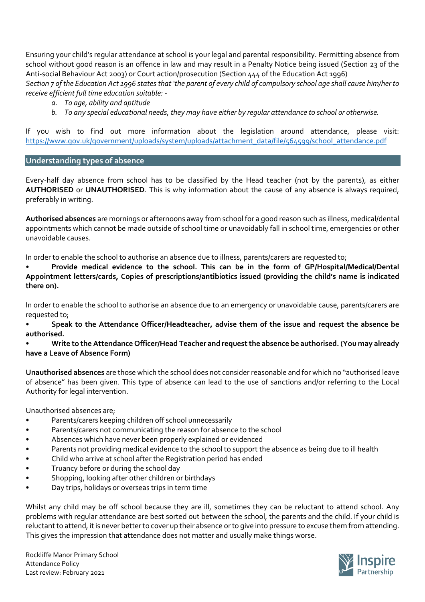Ensuring your child's regular attendance at school is your legal and parental responsibility. Permitting absence from school without good reason is an offence in law and may result in a Penalty Notice being issued (Section 23 of the Anti-social Behaviour Act 2003) or Court action/prosecution (Section 444 of the Education Act 1996) *Section 7 of the Education Act 1996 states that 'the parent of every child of compulsory school age shall cause him/her to receive efficient full time education suitable: -*

- *a. To age, ability and aptitude*
- *b. To any special educational needs, they may have either by regular attendance to school or otherwise.*

If you wish to find out more information about the legislation around attendance, please visit: [https://www.gov.uk/government/uploads/system/uploads/attachment\\_data/file/564599/school\\_attendance.pdf](https://www.gov.uk/government/uploads/system/uploads/attachment_data/file/564599/school_attendance.pdf)

## **Understanding types of absence**

Every-half day absence from school has to be classified by the Head teacher (not by the parents), as either **AUTHORISED** or **UNAUTHORISED**. This is why information about the cause of any absence is always required, preferably in writing.

**Authorised absences** are mornings or afternoons away from school for a good reason such as illness, medical/dental appointments which cannot be made outside of school time or unavoidably fall in school time, emergencies or other unavoidable causes.

In order to enable the school to authorise an absence due to illness, parents/carers are requested to;

• **Provide medical evidence to the school. This can be in the form of GP/Hospital/Medical/Dental Appointment letters/cards, Copies of prescriptions/antibiotics issued (providing the child's name is indicated there on).** 

In order to enable the school to authorise an absence due to an emergency or unavoidable cause, parents/carers are requested to;

• **Speak to the Attendance Officer/Headteacher, advise them of the issue and request the absence be authorised.**

## • **Write to the Attendance Officer/Head Teacher and request the absence be authorised. (You may already have a Leave of Absence Form)**

**Unauthorised absences** are those which the school does not consider reasonable and for which no "authorised leave of absence" has been given. This type of absence can lead to the use of sanctions and/or referring to the Local Authority for legal intervention.

Unauthorised absences are;

- Parents/carers keeping children off school unnecessarily
- Parents/carers not communicating the reason for absence to the school
- Absences which have never been properly explained or evidenced
- Parents not providing medical evidence to the school to support the absence as being due to ill health
- Child who arrive at school after the Registration period has ended
- Truancy before or during the school day
- Shopping, looking after other children or birthdays
- Day trips, holidays or overseas trips in term time

Whilst any child may be off school because they are ill, sometimes they can be reluctant to attend school. Any problems with regular attendance are best sorted out between the school, the parents and the child. If your child is reluctant to attend, it is never better to cover up their absence or to give into pressure to excuse them from attending. This gives the impression that attendance does not matter and usually make things worse.

Rockliffe Manor Primary School Attendance Policy Last review: February 2021

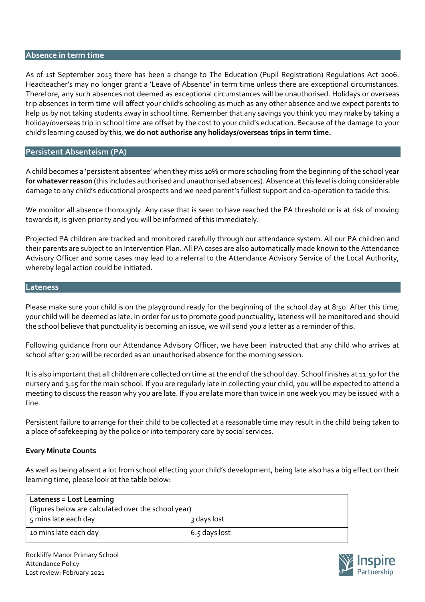# **Absence in term time**

As of 1st September 2013 there has been a change to The Education (Pupil Registration) Regulations Act 2006. Headteacher's may no longer grant a 'Leave of Absence' in term time unless there are exceptional circumstances. Therefore, any such absences not deemed as exceptional circumstances will be unauthorised. Holidays or overseas trip absences in term time will affect your child's schooling as much as any other absence and we expect parents to help us by not taking students away in school time. Remember that any savings you think you may make by taking a holiday/overseas trip in school time are offset by the cost to your child's education. Because of the damage to your child's learning caused by this, **we do not authorise any holidays/overseas trips in term time.** 

# **Persistent Absenteism (PA)**

A child becomes a 'persistent absentee' when they miss 10% or more schooling from the beginning of the school year **for whatever reason** (this includes authorised and unauthorised absences). Absence at this level is doing considerable damage to any child's educational prospects and we need parent's fullest support and co-operation to tackle this.

We monitor all absence thoroughly. Any case that is seen to have reached the PA threshold or is at risk of moving towards it, is given priority and you will be informed of this immediately.

Projected PA children are tracked and monitored carefully through our attendance system. All our PA children and their parents are subject to an Intervention Plan. All PA cases are also automatically made known to the Attendance Advisory Officer and some cases may lead to a referral to the Attendance Advisory Service of the Local Authority, whereby legal action could be initiated.

#### **Lateness**

Please make sure your child is on the playground ready for the beginning of the school day at 8:50. After this time, your child will be deemed as late. In order for us to promote good punctuality, lateness will be monitored and should the school believe that punctuality is becoming an issue, we will send you a letter as a reminder of this.

Following guidance from our Attendance Advisory Officer, we have been instructed that any child who arrives at school after 9:20 will be recorded as an unauthorised absence for the morning session.

It is also important that all children are collected on time at the end of the school day. School finishes at 11.50 for the nursery and 3.15 for the main school. If you are regularly late in collecting your child, you will be expected to attend a meeting to discuss the reason why you are late. If you are late more than twice in one week you may be issued with a fine.

Persistent failure to arrange for their child to be collected at a reasonable time may result in the child being taken to a place of safekeeping by the police or into temporary care by social services.

#### **Every Minute Counts**

As well as being absent a lot from school effecting your child's development, being late also has a big effect on their learning time, please look at the table below:

| Lateness = Lost Learning                            |                 |  |
|-----------------------------------------------------|-----------------|--|
| (figures below are calculated over the school year) |                 |  |
| 5 mins late each day                                | 3 days lost     |  |
| 10 mins late each day                               | $6.5$ days lost |  |

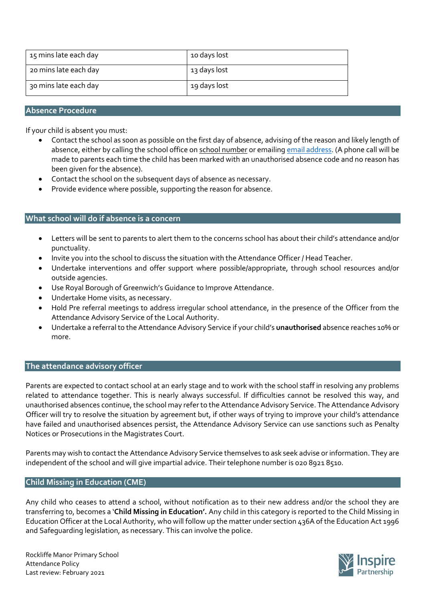| 15 mins late each day | 10 days lost |
|-----------------------|--------------|
| 20 mins late each day | 13 days lost |
| 30 mins late each day | 19 days lost |

# **Absence Procedure**

If your child is absent you must:

- Contact the school as soon as possible on the first day of absence, advising of the reason and likely length of absence, either by calling the school office on school number or emailin[g email address.](mailto:absence@greenwichsteinerschool.org.uk) (A phone call will be made to parents each time the child has been marked with an unauthorised absence code and no reason has been given for the absence).
- Contact the school on the subsequent days of absence as necessary.
- Provide evidence where possible, supporting the reason for absence.

# **What school will do if absence is a concern**

- Letters will be sent to parents to alert them to the concerns school has about their child's attendance and/or punctuality.
- Invite you into the school to discuss the situation with the Attendance Officer / Head Teacher.
- Undertake interventions and offer support where possible/appropriate, through school resources and/or outside agencies.
- Use Royal Borough of Greenwich's Guidance to Improve Attendance.
- Undertake Home visits, as necessary.
- Hold Pre referral meetings to address irregular school attendance, in the presence of the Officer from the Attendance Advisory Service of the Local Authority.
- Undertake a referral to the Attendance Advisory Service if your child's **unauthorised** absence reaches 10% or more.

# **The attendance advisory officer**

Parents are expected to contact school at an early stage and to work with the school staff in resolving any problems related to attendance together. This is nearly always successful. If difficulties cannot be resolved this way, and unauthorised absences continue, the school may refer to the Attendance Advisory Service. The Attendance Advisory Officer will try to resolve the situation by agreement but, if other ways of trying to improve your child's attendance have failed and unauthorised absences persist, the Attendance Advisory Service can use sanctions such as Penalty Notices or Prosecutions in the Magistrates Court.

Parents may wish to contact the Attendance Advisory Service themselves to ask seek advise or information. They are independent of the school and will give impartial advice. Their telephone number is 020 8921 8510.

#### **Child Missing in Education (CME)**

Any child who ceases to attend a school, without notification as to their new address and/or the school they are transferring to, becomes a '**Child Missing in Education'.** Any child in this category is reported to the Child Missing in Education Officer at the Local Authority, who will follow up the matter under section 436A of the Education Act 1996 and Safeguarding legislation, as necessary. This can involve the police.

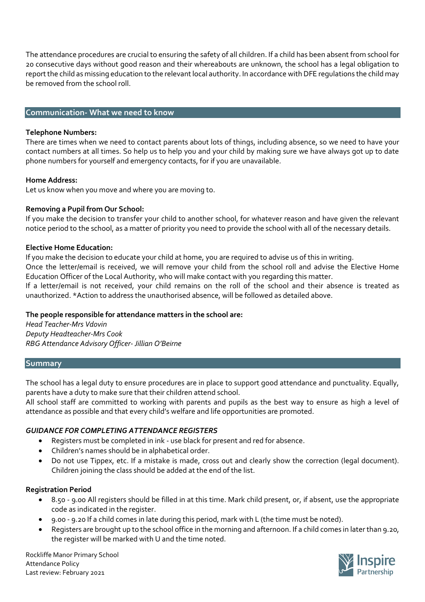The attendance procedures are crucial to ensuring the safety of all children. If a child has been absent from school for 20 consecutive days without good reason and their whereabouts are unknown, the school has a legal obligation to report the child as missing education to the relevant local authority. In accordance with DFE regulations the child may be removed from the school roll.

## **Communication- What we need to know**

#### **Telephone Numbers:**

There are times when we need to contact parents about lots of things, including absence, so we need to have your contact numbers at all times. So help us to help you and your child by making sure we have always got up to date phone numbers for yourself and emergency contacts, for if you are unavailable.

## **Home Address:**

Let us know when you move and where you are moving to.

## **Removing a Pupil from Our School:**

If you make the decision to transfer your child to another school, for whatever reason and have given the relevant notice period to the school, as a matter of priority you need to provide the school with all of the necessary details.

#### **Elective Home Education:**

If you make the decision to educate your child at home, you are required to advise us of this in writing.

Once the letter/email is received, we will remove your child from the school roll and advise the Elective Home Education Officer of the Local Authority, who will make contact with you regarding this matter.

If a letter/email is not received, your child remains on the roll of the school and their absence is treated as unauthorized. \*Action to address the unauthorised absence, will be followed as detailed above.

# **The people responsible for attendance matters in the school are:**

*Head Teacher-Mrs Vdovin Deputy Headteacher-Mrs Cook RBG Attendance Advisory Officer- Jillian O'Beirne*

#### **Summary**

The school has a legal duty to ensure procedures are in place to support good attendance and punctuality. Equally, parents have a duty to make sure that their children attend school.

All school staff are committed to working with parents and pupils as the best way to ensure as high a level of attendance as possible and that every child's welfare and life opportunities are promoted.

# *GUIDANCE FOR COMPLETING ATTENDANCE REGISTERS*

- Registers must be completed in ink use black for present and red for absence.
- Children's names should be in alphabetical order.
- Do not use Tippex, etc. If a mistake is made, cross out and clearly show the correction (legal document). Children joining the class should be added at the end of the list.

#### **Registration Period**

- 8.50 9.00 All registers should be filled in at this time. Mark child present, or, if absent, use the appropriate code as indicated in the register.
- 9.00 9.20 If a child comes in late during this period, mark with L (the time must be noted).
- Registers are brought up to the school office in the morning and afternoon. If a child comes in later than 9.20, the register will be marked with U and the time noted.

Rockliffe Manor Primary School Attendance Policy Last review: February 2021